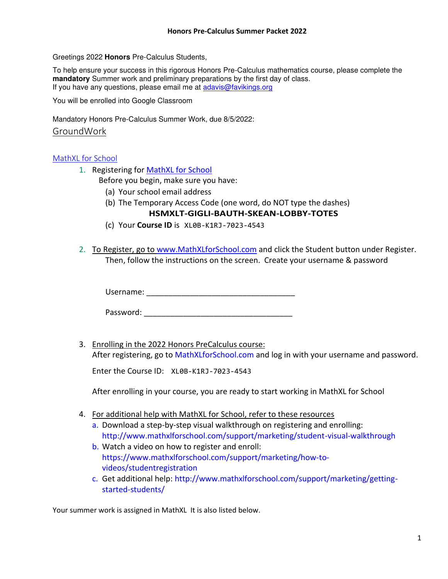Greetings 2022 **Honors** Pre-Calculus Students,

To help ensure your success in this rigorous Honors Pre-Calculus mathematics course, please complete the **mandatory** Summer work and preliminary preparations by the first day of class. If you have any questions, please email me at [adavis@favikings.org](mailto:adavis@favikings.org)

You will be enrolled into Google Classroom

Mandatory Honors Pre-Calculus Summer Work, due 8/5/2022:

### GroundWork

# [MathXL for School](http://www.mathxlforschool.com/home_school.htm)

- 1. Registering for [MathXL for School](http://www.mathxlforschool.com/home_school.htm)
	- Before you begin, make sure you have:
		- (a) Your school email address
		- (b) The Temporary Access Code (one word, do NOT type the dashes)

# **HSMXLT-GIGLI-BAUTH-SKEAN-LOBBY-TOTES**

- (c) Your **Course ID** is [XL0B-K1RJ-7023-4543](javascript:CourseIDPopup(540127,%20)
- 2. To Register, go to [www.MathXLforSchool.com](http://www.mathxlforschool.com/) and click the Student button under Register. Then, follow the instructions on the screen. Create your username & password

Username:  $\blacksquare$ 

Password:

3. Enrolling in the 2022 Honors PreCalculus course:

After registering, go to MathXLforSchool.com and log in with your username and password.

Enter the Course ID: [XL0B-K1RJ-7023-4543](javascript:CourseIDPopup(540127,%20)

After enrolling in your course, you are ready to start working in MathXL for School

- 4. For additional help with MathXL for School, refer to these resources
	- a. Download a step-by-step visual walkthrough on registering and enrolling: http://www.mathxlforschool.com/support/marketing/student-visual-walkthrough
	- b. Watch a video on how to register and enroll: https://www.mathxlforschool.com/support/marketing/how-tovideos/studentregistration
	- c. Get additional help: http://www.mathxlforschool.com/support/marketing/gettingstarted-students/

Your summer work is assigned in MathXL It is also listed below.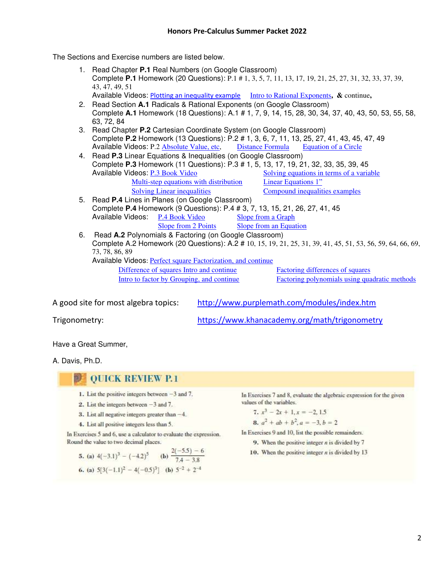The Sections and Exercise numbers are listed below.

- 1. Read Chapter **P.1** Real Numbers (on Google Classroom) Complete **P.1** Homework (20 Questions): P.1 # 1, 3, 5, 7, 11, 13, 17, 19, 21, 25, 27, 31, 32, 33, 37, 39, 43, 47, 49, 51
	- Available Videos: [Plotting an inequality example](https://www.khanacademy.org/math/algebra/one-variable-linear-inequalities/alg1-inequalities/v/inequalities-on-a-number-line) [Intro to Rational Exponents](https://www.khanacademy.org/math/algebra/rational-exponents-and-radicals/rational-exponents-intro/v/basic-fractional-exponents)**, &** continue**,**
- 2. Read Section **A.1** Radicals & Rational Exponents (on Google Classroom) Complete **A.1** Homework (18 Questions): A.1 # 1, 7, 9, 14, 15, 28, 30, 34, 37, 40, 43, 50, 53, 55, 58, 63, 72, 84
- 3. Read Chapter **P.2** Cartesian Coordinate System (on Google Classroom) Complete **P.2** Homework (13 Questions): P.2 # 1, 3, 6, 7, 11, 13, 25, 27, 41, 43, 45, 47, 49 Available Videos: P.2 [Absolute Value, etc,](https://www.khanacademy.org/math/arithmetic/arith-review-negative-numbers/arith-review-abs-value/v/absolute-value-of-integers) [Distance Formula](https://www.khanacademy.org/math/basic-geo/basic-geometry-pythagorean-theorem/pythagorean-theorem-distance/v/distance-formula) [Equation of a Circle](https://www.khanacademy.org/math/algebra2/intro-to-conics-alg2/standard-equation-circle-alg2/v/radius-and-center-for-a-circle-equation-in-standard-form)
- 4. Read **P.3** Linear Equations & Inequalities (on Google Classroom) Complete **P.3** Homework (11 Questions): P.3 # 1, 5, 13, 17, 19, 21, 32, 33, 35, 39, 45 [Solving equations in terms of a variable](https://www.khanacademy.org/math/algebra/one-variable-linear-equations/linear-equations-with-unknown-coefficients/e/solving_for_a_variable)<br>Linear Equations 1" Multi-step equations with distribution [Solving Linear inequalities](https://www.khanacademy.org/math/algebra-home/alg-basic-eq-ineq/alg-one-step-inequalities/v/solving-and-graphing-linear-inequalities-in-two-variables-1) [Compound inequalities examples](https://www.khanacademy.org/math/algebra/one-variable-linear-inequalities/compound-inequalities/v/compound-inequalities)
- 5. Read **P.4** Lines in Planes (on Google Classroom) Complete **P.4** Homework (9 Questions): P.4 # 3, 7, 13, 15, 21, 26, 27, 41, 45 Available Videos: [P.4 Book Video](http://media.pearsoncmg.com/cmg/pmmg_mml_shared/video_player/dev_redirect/mathxl_video_player.html?from_flash=true&video=aw/aw_demana_precalc_8/video/dwp08_0p04) [Slope from a Graph](https://www.khanacademy.org/math/algebra/two-var-linear-equations/slope/v/slope-of-a-line) [Slope from 2 Points](https://www.khanacademy.org/math/algebra/two-var-linear-equations/slope/v/slope-of-a-line-2) Slope from an Equation
- 6. Read **A.2** Polynomials & Factoring (on Google Classroom) Complete A.2 Homework (20 Questions): A.2 # 10, 15, 19, 21, 25, 31, 39, 41, 45, 51, 53, 56, 59, 64, 66, 69, 73, 78, 86, 89 Available Videos: [Perfect square Factorization, and continue](https://www.khanacademy.org/math/algebra/polynomial-factorization/factoring-quadratics-perfect-squares/v/perfect-square-factorization-intro)  [Difference of squares Intro and continue](https://www.khanacademy.org/math/algebra/polynomial-factorization/factoring-quadratics-diff-of-squares/v/difference-of-squares-intro) [Factoring differences of squares](https://www.khanacademy.org/math/algebra/polynomial-factorization/factoring-polynomials-3-special-product-forms/v/factoring-difference-of-squares)  [Intro to factor by Grouping, and continue](https://www.khanacademy.org/math/algebra/polynomial-factorization/factoring-quadratics-2/v/factor-by-grouping-and-factoring-completely) [Factoring polynomials using quadratic methods](https://www.khanacademy.org/math/algebra/polynomial-factorization/factoring-polynomials-2-quadratic-forms/e/factoring_polynomials_2)

A good site for most algebra topics: <http://www.purplemath.com/modules/index.htm>

Trigonometry: <https://www.khanacademy.org/math/trigonometry>

Have a Great Summer,

A. Davis, Ph.D.

#### 詞 **OUICK REVIEW P.1**

- 1. List the positive integers between  $-3$  and 7.
- 2. List the integers between  $-3$  and 7.
- 3. List all negative integers greater than  $-4$ .
- 4. List all positive integers less than 5.

In Exercises 5 and 6, use a calculator to evaluate the expression. Round the value to two decimal places.

**5.** (a) 
$$
4(-3.1)^3 - (-4.2)^5
$$
 (b)  $\frac{2(-5.5) - 6}{7.4 - 3.8}$   
**6.** (a)  $5[3(-1.1)^2 - 4(-0.5)^3]$  (b)  $5^{-2} + 2^{-4}$ 

In Exercises 7 and 8, evaluate the algebraic expression for the given values of the variables.

$$
7. x3 - 2x + 1, x = -2, 1.5
$$

**8.** 
$$
a^2 + ab + b^2
$$
,  $a = -3$ ,  $b = 2$ 

In Exercises 9 and 10, list the possible remainders.

9. When the positive integer  $n$  is divided by  $7$ 

10. When the positive integer  $n$  is divided by 13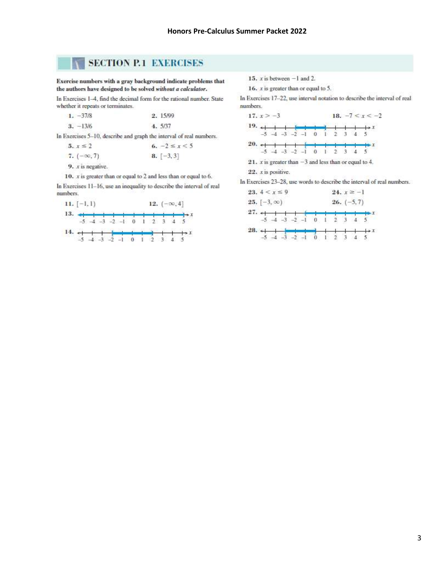# **SECTION P.1 EXERCISES**

Exercise numbers with a gray background indicate problems that the authors have designed to be solved without a calculator.

In Exercises 1-4, find the decimal form for the rational number. State whether it repeats or terminates.

| $1. -37/8$ | 2.15/99 |
|------------|---------|
| $3. -13/6$ | 4. 5/37 |

In Exercises 5-10, describe and graph the interval of real numbers.

| $5. x \le 2$                      | 6. $-2 \le x \le 5$    |
|-----------------------------------|------------------------|
| 7. $(-\infty, 7)$                 | $\left[ -3, 3 \right]$ |
| Controlled and the control of the |                        |

 $9. x$  is negative.

10.  $x$  is greater than or equal to 2 and less than or equal to 6.

In Exercises 11-16, use an inequality to describe the interval of real numbers.



15.  $x$  is between  $-1$  and 2.

16.  $x$  is greater than or equal to 5.

In Exercises 17-22, use interval notation to describe the interval of real numbers.



 $22. x$  is positive.

In Exercises 23-28, use words to describe the interval of real numbers.

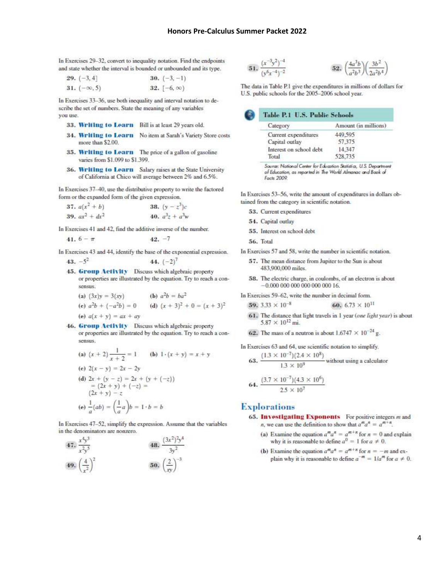$\overline{5}$ 

In Exercises 29-32, convert to inequality notation. Find the endpoints and state whether the interval is bounded or unbounded and its type.

| 29. $(-3, 4]$      | 30. $(-3, -1)$    |
|--------------------|-------------------|
| $31. (-\infty, 5)$ | $32.[-6, \infty)$ |

In Exercises 33-36, use both inequality and interval notation to describe the set of numbers. State the meaning of any variables you use.

- 33. Writing to Learn Bill is at least 29 years old.
- 34. Writing to Learn No item at Sarah's Variety Store costs more than \$2.00.
- 35. Writing to Learn The price of a gallon of gasoline varies from \$1.099 to \$1.399.
- 36. Writing to Learn Salary raises at the State University of California at Chico will average between 2% and 6.5%.

In Exercises 37-40, use the distributive property to write the factored form or the expanded form of the given expression.

**37.** 
$$
a(x^2 + b)
$$
  
\n**38.**  $(y - z^3)c$   
\n**39.**  $ax^2 + dx^2$   
\n**40.**  $a^3z + a^3w$ 

In Exercises 41 and 42, find the additive inverse of the number.

41. 
$$
6 - \pi
$$
 42. -7

In Exercises 43 and 44, identify the base of the exponential expression.  $43. -5^2$ 44.  $(-2)^7$ 

- 45. Group Activity Discuss which algebraic property or properties are illustrated by the equation. Try to reach a consensus.
	- (a)  $(3x)y = 3(xy)$  (b)  $a^2b = ba^2$ (e)  $a^2b + (-a^2b) = 0$  (d)  $(x + 3)^2 + 0 = (x + 3)^2$ (e)  $a(x + y) = ax + ay$
- 46. Group Activity Discuss which algebraic property or properties are illustrated by the equation. Try to reach a consensus.

(a) 
$$
(x + 2) \frac{1}{x + 2} = 1
$$
 (b)  $1 \cdot (x + y) = x + y$   
\n(c)  $2(x - y) = 2x - 2y$   
\n(d)  $2x + (y - z) = 2x + (y + (-z))$   
\n $= (2x + y) + (-z) =$   
\n $(2x + y) - z$   
\n(e)  $\frac{1}{a}(ab) = (\frac{1}{a}a)b = 1 \cdot b = b$ 

In Exercises 47-52, simplify the expression. Assume that the variables in the denominators are nonzero.



1. 
$$
\frac{(x^{-3}y^2)^{-4}}{(y^6x^{-4})^{-2}}
$$
 52. 
$$
\left(\frac{4a}{a^2}\right)
$$

The data in Table P.1 give the expenditures in millions of dollars for U.S. public schools for the 2005-2006 school year.

 $\frac{3b^2}{2a}$ 

| Table P.1 U.S. Public Schools |                      |
|-------------------------------|----------------------|
| Category                      | Amount (in millions) |
| Current expenditures          | 449,595              |
| Capital outlay                | 57,375               |
| Interest on school debt       | 14.347               |
| Total                         | 528,735              |
|                               |                      |

Source: National Center for Education Statistics, U.S. Department of Education, as reported in The World Almanac and Book of Facts 2009

In Exercises 53-56, write the amount of expenditures in dollars obtained from the category in scientific notation.

- 53. Current expenditures
- 54. Capital outlay
- 55. Interest on school debt
- 56. Total
- In Exercises 57 and 58, write the number in scientific notation.
	- 57. The mean distance from Jupiter to the Sun is about 483,900,000 miles.
	- 58. The electric charge, in coulombs, of an electron is about  $-0.000$  000 000 000 000 000 16.
- In Exercises 59-62, write the number in decimal form.

**59.** 
$$
3.33 \times 10^{-8}
$$
 **60.**  $6.73 \times 10^{11}$ 

- 61. The distance that light travels in 1 year (one light year) is about  $5.87 \times 10^{12}$  mi.
- 62. The mass of a neutron is about  $1.6747 \times 10^{-24}$  g.

In Exercises 63 and 64, use scientific notation to simplify. 
$$
(1.3 \times 10^{-7}) \times (2.4 \times 10^{8})
$$

63. 
$$
\frac{(1.3 \times 10^{-1})(2.4 \times 10^{-1})}{1.3 \times 10^{9}}
$$
 without using a calculator

64. 
$$
\frac{(3.7 \times 10^{-7})(4.3 \times 10^{6})}{2.5 \times 10^{7}}
$$

### **Explorations**

- 65. Investigating Exponents For positive integers m and *n*, we can use the definition to show that  $a^m a^n = a^{m+n}$ .
	- (a) Examine the equation  $a^m a^n = a^{m+n}$  for  $n = 0$  and explain why it is reasonable to define  $a^0 = 1$  for  $a \neq 0$ .
	- (b) Examine the equation  $a^m a^n = a^{m+n}$  for  $n = -m$  and explain why it is reasonable to define  $a^{-m} = 1/a^m$  for  $a \neq 0$ .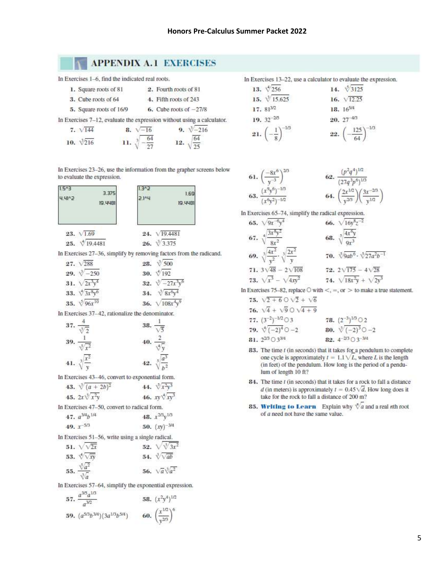# **APPENDIX A.1 EXERCISES**

In Exercises 1-6, find the indicated real roots.

| 1. Square roots of 81 | 2. Fourth roots of 81 |  |  |
|-----------------------|-----------------------|--|--|
| 3. Cube roots of 64   | 4. Fifth roots of 243 |  |  |

5. Square roots of 16/9 6. Cube roots of  $-27/8$ 

In Exercises 7-12, evaluate the expression without using a calculator.

8.  $\sqrt{-16}$  $9. \sqrt[-216]$  $7. \sqrt{144}$ 11.  $\sqrt[3]{-\frac{64}{27}}$ 12.  $\sqrt{\frac{64}{25}}$ 10.  $\sqrt[3]{216}$ 

In Exercises 23-26, use the information from the grapher screens below to evaluate the expression.



 $26. \sqrt[3]{3.375}$ 

In Exercises 27-36, simplify by removing factors from the radicand.

| $27. \sqrt{288}$        | 28. $\sqrt[3]{500}$       |
|-------------------------|---------------------------|
| 29. $\sqrt[-250]$       | 30. $\sqrt[4]{192}$       |
| 31. $\sqrt{2x^3y^4}$    | 32. $\sqrt[3]{-27x^3y^6}$ |
| 33. $\sqrt[4]{3x^8y^6}$ | 34. $\sqrt[3]{8x^6y^4}$   |
| 35. $\sqrt{96x^{10}}$   | 36. $\sqrt{108x^4y^9}$    |

In Exercises 37-42, rationalize the denominator.  $\lambda$ 

37. 
$$
\frac{4}{\sqrt[3]{2}}
$$
  
\n38.  $\frac{1}{\sqrt{5}}$   
\n39.  $\frac{1}{\sqrt[5]{x^2}}$   
\n40.  $\frac{2}{\sqrt[4]{y}}$   
\n41.  $\sqrt[3]{\frac{x^2}{y}}$   
\n42.  $\sqrt[5]{\frac{a^3}{b^2}}$ 

In Exercises 43-46, convert to exponential form.

| 43. $\sqrt[3]{(a+2b)^2}$ | 44. $\sqrt{x^2y^3}$    |
|--------------------------|------------------------|
| 45. $2x\sqrt[3]{x^2y}$   | 46. $xy\sqrt[4]{xy^3}$ |

In Exercises 47-50, convert to radical form.

| 47. $a^{3/4}b^{1/4}$ | 48. $x^{2/3}y^{1/3}$ |  |  |
|----------------------|----------------------|--|--|
| 49. $x^{-5/3}$       | 50. $(xy)^{-3}$      |  |  |

In Exercises 51-56, write using a single radical.

| 51. $\sqrt{2x}$                         | 52. $\sqrt{3x^2}$           |
|-----------------------------------------|-----------------------------|
| 53. $\sqrt{\sqrt{xy}}$                  | 54. $\sqrt[3]{\sqrt{ab}}$   |
| 55. $\frac{\sqrt[5]{a^2}}{\sqrt[3]{a}}$ | 56. $\sqrt{a}\sqrt[3]{a^2}$ |

In Exercises 57-64, simplify the exponential expression.

57. 
$$
\frac{a^{3/5}a^{1/3}}{a^{3/2}}
$$
 58.  $(x^2y^4)^{1/2}$   
59.  $(a^{5/3}b^{3/4})(3a^{1/3}b^{5/4})$  60.  $\left(\frac{x^{1/2}}{y^{2/3}}\right)^6$ 

In Exercises 13-22, use a calculator to evaluate the expression.

| 13. $\sqrt[4]{256}$                  | 14. $\sqrt[3]{3125}$               |
|--------------------------------------|------------------------------------|
| 15. $\sqrt[3]{15.625}$               | 16. $\sqrt{12.25}$                 |
| $17.81^{3/2}$                        | 18. 165/4                          |
| 19. $32^{-2/5}$                      | $20.27^{4/3}$                      |
| 21. $\left(-\frac{1}{8}\right)^{-1}$ | $125$ <sup>-1/3</sup><br>$22.$ $($ |

61. 
$$
\left(\frac{-8x^6}{y^{-3}}\right)^{2/3}
$$
  
\n62.  $\frac{(p^2q^4)^{1/2}}{(27q^3p^6)^{1/3}}$   
\n63.  $\frac{(x^9y^6)^{-1/3}}{(x^6y^2)^{-1/2}}$   
\n64.  $\left(\frac{2x^{1/2}}{y^{2/3}}\right)\left(\frac{3x^{-2/3}}{y^{1/2}}\right)$ 

In Exercises 65-74, simplify the radical expression.

65. 
$$
\sqrt{9x^{-6}y^4}
$$
  
\n66.  $\sqrt{16y^8z^{-2}}$   
\n67.  $\sqrt[4]{\frac{3x^8y^2}{8x^2}}$   
\n68.  $\sqrt[3]{\frac{4x^6y}{9x^3}}$   
\n69.  $\sqrt[3]{\frac{4x^2}{y^2}}$ .  $\sqrt[3]{\frac{2x^2}{y}}$   
\n70.  $\sqrt[3]{9ab^6} \cdot \sqrt[5]{27a^2b^{-1}}$   
\n71.  $3\sqrt{48} - 2\sqrt{108}$   
\n72.  $2\sqrt{175} - 4\sqrt{28}$   
\n73.  $\sqrt{x^3} - \sqrt{4xy^2}$   
\n74.  $\sqrt{18x^2y} + \sqrt{2y^3}$ 

In Exercises 75-82, replace  $\bigcirc$  with  $\lt$ , =, or  $>$  to make a true statement.

**75.** 
$$
\sqrt{2 + 6} \cup \sqrt{2} + \sqrt{6}
$$
  
\n**76.**  $\sqrt{4} + \sqrt{9} \cup \sqrt{4 + 9}$   
\n**77.**  $(3^{-2})^{-1/2} \cup 3$   
\n**78.**  $(2^{-3})^{1/3} \cup 2$   
\n**79.**  $\sqrt[4]{(-2)^4} \cup -2$   
\n**80.**  $\sqrt[3]{(-2)^3} \cup 3^{-3/4}$   
\n**82.**  $4^{-2/3} \cup 3^{-3/4}$ 

- 83. The time t (in seconds) that it takes for a pendulum to complete one cycle is approximately  $t = 1.1 \sqrt{L}$ , where L is the length (in feet) of the pendulum. How long is the period of a pendulum of length 10 ft?
- 84. The time t (in seconds) that it takes for a rock to fall a distance d (in meters) is approximately  $t = 0.45\sqrt{d}$ . How long does it take for the rock to fall a distance of 200 m?
- **85. Writing to Learn** Explain why  $\sqrt[n]{a}$  and a real nth root of a need not have the same value.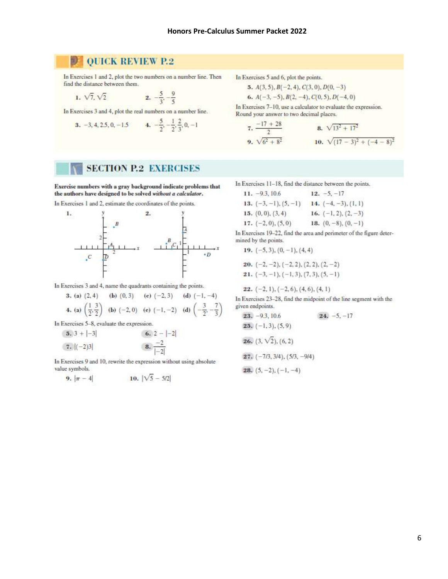#### **QUICK REVIEW P.2** 19

In Exercises 1 and 2, plot the two numbers on a number line. Then find the distance between them.

1. 
$$
\sqrt{7}
$$
,  $\sqrt{2}$   
2.  $-\frac{5}{3}, -\frac{9}{5}$ 

In Exercises 3 and 4, plot the real numbers on a number line.

**3.** -3, 4, 2.5, 0, -1.5  
**4.** 
$$
-\frac{5}{2}, -\frac{1}{2}, \frac{2}{3}, 0, -1
$$

**SECTION P.2 EXERCISES** 

Exercise numbers with a gray background indicate problems that the authors have designed to be solved without a calculator. In Exercises 1 and 2, estimate the coordinates of the points.



In Exercises 3 and 4, name the quadrants containing the points.

**3.** (a) (2, 4) (b) (0, 3) (e) (-2, 3) (d) (-1, -4)  
\n**4.** (a) 
$$
\left(\frac{1}{2}, \frac{3}{2}\right)
$$
 (b) (-2, 0) (e) (-1, -2) (d)  $\left(-\frac{3}{2}, -\frac{7}{3}\right)$ 

In Exercises 5-8, evaluate the expression.

| $(3, 3 +  -3 )$ | $(6, 2 -  -2 )$        |
|-----------------|------------------------|
| $(7,  (-2)3 )$  | $(8, \frac{-2}{ -2 })$ |

In Exercises 9 and 10, rewrite the expression without using absolute value symbols.

9. 
$$
|\pi - 4|
$$
 10.  $|\sqrt{5} - 5/2|$ 

In Exercises 5 and 6, plot the points.

5. 
$$
A(3, 5), B(-2, 4), C(3, 0), D(0, -3)
$$

**6.** 
$$
A(-3, -5), B(2, -4), C(0, 5), D(-4, 0)
$$

In Exercises 7-10, use a calculator to evaluate the expression. Round your answer to two decimal places.

7. 
$$
\frac{-17 + 28}{2}
$$
  
8. 
$$
\sqrt{13^2 + 17^2}
$$
  
9. 
$$
\sqrt{6^2 + 8^2}
$$
  
10. 
$$
\sqrt{(17 - 3)^2 + (-4 - 8)^2}
$$

In Exercises 11-18, find the distance between the points.

 $11. -9.3, 10.6$  $12. -5. -17$ 13.  $(-3, -1), (5, -1)$  14.  $(-4, -3), (1, 1)$ 15.  $(0, 0)$ ,  $(3, 4)$ 16.  $(-1, 2), (2, -3)$ 17.  $(-2, 0)$ ,  $(5, 0)$ 18.  $(0, -8)$ ,  $(0, -1)$ 

In Exercises 19-22, find the area and perimeter of the figure determined by the points.

19. 
$$
(-5, 3)
$$
,  $(0, -1)$ ,  $(4, 4)$   
20.  $(-2, -2)$ ,  $(-2, 2)$ ,  $(2, 2)$ ,  $(2, -2)$   
21.  $(-3, -1)$ ,  $(-1, 3)$ ,  $(7, 3)$ ,  $(5, -1)$ 

22.  $(-2, 1), (-2, 6), (4, 6), (4, 1)$ 

In Exercises 23-28, find the midpoint of the line segment with the given endpoints.

\n- **23.** 
$$
-93
$$
, 10.6
\n- **24.**  $-5$ ,  $-17$
\n- **25.**  $(-1, 3)$ ,  $(5, 9)$
\n- **26.**  $(3, \sqrt{2})$ ,  $(6, 2)$
\n- **27.**  $(-7/3, 3/4)$ ,  $(5/3, -9/4)$
\n- **28.**  $(5, -2)$ ,  $(-1, -4)$
\n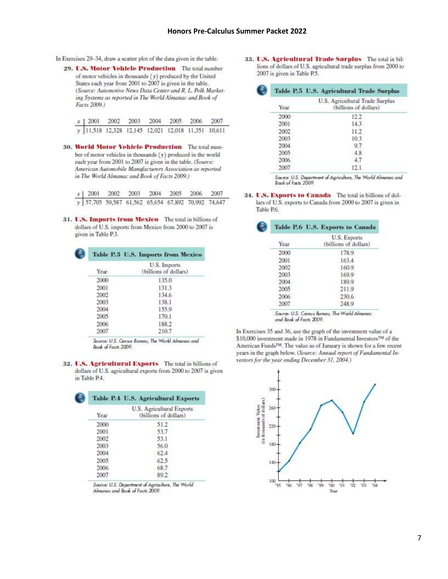- In Exercises 29-34, draw a scatter plot of the data given in the table.
	- 29. U.S. Motor Vehicle Production The total number of motor vehicles in thousands (y) produced by the United States each year from 2001 to 2007 is given in the table. (Source: Automotive News Data Center and R. L. Polk Marketing Systems as reported in The World Almanac and Book of Facts 2009.)

| x   2001 2002 2003 2004 2005 2006 2007             |  |  |  |
|----------------------------------------------------|--|--|--|
| y 11,518 12,328 12,145 12,021 12,018 11,351 10,611 |  |  |  |

30. World Motor Vehicle Production The total number of motor vehicles in thousands (y) produced in the world each year from 2001 to 2007 is given in the table. (Source: American Automobile Manufacturers Association as reported in The World Almanac and Book of Facts 2009.)

31. U.S. Imports from Mexico The total in billions of dollars of U.S. imports from Mexico from 2000 to 2007 is given in Table P.3.

|      | <b>Table P.3 U.S. Imports from Mexico</b> |
|------|-------------------------------------------|
| Year | U.S. Imports<br>(billions of dollars)     |
| 2000 | 135.0                                     |
| 2001 | 131.3                                     |
| 2002 | 134.6                                     |
| 2003 | 138.1                                     |
| 2004 | 155.9                                     |
| 2005 | 170.1                                     |
| 2006 | 188.2                                     |
| 2007 | 210.7                                     |

Source: U.S. Census Bureau, The World Almanac and Book of Facts 2009.

32. U.S. Agricultural Exports The total in billions of dollars of U.S. agricultural exports from 2000 to 2007 is given in Table P.4.

|      | <b>Table P.4 U.S. Agricultural Exports</b>        |
|------|---------------------------------------------------|
| Year | U.S. Agneultural Exports<br>(billions of dollars) |
| 2000 | 51.2                                              |
| 2001 | 53.7                                              |
| 2002 | 53.1                                              |
| 2003 | 56.0                                              |
| 2004 | 62:4                                              |
| 2005 | 62.5                                              |
| 2006 | 68.7                                              |
| 2007 | 89.2                                              |

Source: U.S. Department of Agriculture, The World Almanac and Book of Facts 2009.

33. U.S. Agricultural Trade Surplus The total in billions of dollars of U.S. agricultural trade surplus from 2000 to 2007 is given in Table P.5.

| Year | U.S. Agricultural Trade Surplus<br>(billions of dollars) |
|------|----------------------------------------------------------|
| 2000 | 12.2                                                     |
| 2001 | 14.3                                                     |
| 2002 | 11.2                                                     |
| 2003 | 10.3                                                     |
| 2004 | 9.7                                                      |
| 2005 | 4.8                                                      |
| 2006 | 4.7                                                      |
| 2007 | 12.1                                                     |

Source: U.S. Department of Agriculture, The World Almanac and Book of Facts 2009.

34. U.S. Exports to Canada The total in billions of dollars of U.S. exports to Canada from 2000 to 2007 is given in Table P.6.

|      | Table P.6 U.S. Exports to Canada             |
|------|----------------------------------------------|
| Year | <b>U.S. Exports</b><br>(billions of dollars) |
| 2000 | 178.9                                        |
| 2001 | 163.4                                        |
| 2002 | 160.9                                        |
| 2003 | 169.9                                        |
| 2004 | 189.9                                        |
| 2005 | 211.9                                        |
| 2006 | 230.6                                        |
| 2007 | 248.9                                        |

and Book of Facts 2009.

In Exercises 35 and 36, use the graph of the investment value of a \$10,000 investment made in 1978 in Fundamental Investors™ of the American Funds™. The value as of January is shown for a few recent years in the graph below. (Source: Annual report of Fundamental Investors for the year ending December 31, 2004.)

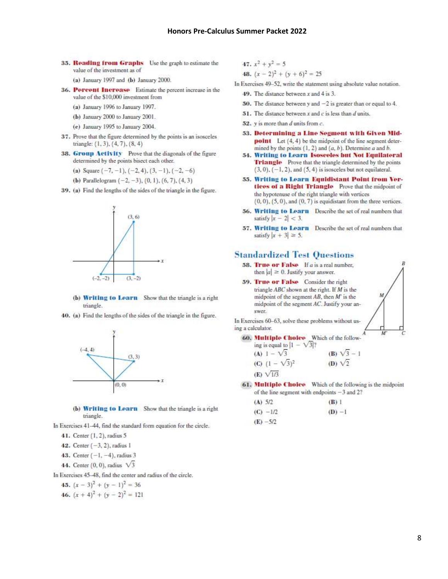35. Reading from Graphs Use the graph to estimate the value of the investment as of

(a) January 1997 and (b) January 2000.

- 36. Percent Increase Estimate the percent increase in the value of the \$10,000 investment from
	- (a) January 1996 to January 1997.
	- (b) January 2000 to January 2001.
	- (e) January 1995 to January 2004.
- 37. Prove that the figure determined by the points is an isosceles triangle: (1, 3), (4, 7), (8, 4)
- 38. Group Activity Prove that the diagonals of the figure determined by the points bisect each other.
	- (a) Square  $(-7, -1)$ ,  $(-2, 4)$ ,  $(3, -1)$ ,  $(-2, -6)$
	- (b) Parallelogram  $(-2, -3)$ ,  $(0, 1)$ ,  $(6, 7)$ ,  $(4, 3)$
- 39. (a) Find the lengths of the sides of the triangle in the figure.



- (b) Writing to Learn Show that the triangle is a right triangle.
- 40. (a) Find the lengths of the sides of the triangle in the figure.



(b) Writing to Learn Show that the triangle is a right triangle.

In Exercises 41-44, find the standard form equation for the circle.

41. Center (1, 2), radius 5

42. Center  $(-3, 2)$ , radius 1

43. Center  $(-1, -4)$ , radius 3

44. Center  $(0, 0)$ , radius  $\sqrt{3}$ 

In Exercises 45-48, find the center and radius of the circle.

- 45.  $(x-3)^2 + (y-1)^2 = 36$
- 46.  $(x + 4)^{2} + (y 2)^{2} = 121$

**47.** 
$$
x^2 + y^2 = 5
$$
  
**48.**  $(x - 2)^2 + (y + 6)^2 = 25$ 

In Exercises 49-52, write the statement using absolute value notation.

49. The distance between  $x$  and  $4$  is 3.

- 50. The distance between y and  $-2$  is greater than or equal to 4.
- 51. The distance between  $x$  and  $c$  is less than  $d$  units.
- 52.  $y$  is more than  $d$  units from  $c$ .
- 53. Determining a Line Segment with Given Mid**point** Let  $(4, 4)$  be the midpoint of the line segment determined by the points  $(1, 2)$  and  $(a, b)$ . Determine  $a$  and  $b$ .
- 54. Writing to Learn Isosceles but Not Equilateral Triangle Prove that the triangle determined by the points  $(3,0)$ ,  $(-1,2)$ , and  $(5,4)$  is isosceles but not equilateral.
- 55. Writing to Learn Equidistant Point from Vertiees of a Right Triangle Prove that the midpoint of the hypotenuse of the right triangle with vertices  $(0,0)$ ,  $(5,0)$ , and  $(0,7)$  is equidistant from the three vertices.
- 56. Writing to Learn Describe the set of real numbers that satisfy  $|x - 2| < 3$ .
- 57. Writing to Learn Describe the set of real numbers that satisfy  $|x + 3| \ge 5$ .

### **Standardized Test Questions**

- **58. True or False** If  $a$  is a real number, then  $|a| \ge 0$ . Justify your answer.
- 59. True or False Consider the right triangle ABC shown at the right. If M is the midpoint of the segment  $AB$ , then  $M'$  is the midpoint of the segment AC. Justify your answer.

In Exercises 60-63, solve these problems without using a calculator.

60. Multiple Choice Which of the follow-

ing is equal to 
$$
|1 - \sqrt{3}|
$$
  
\n**(A)**  $1 - \sqrt{3}$   
\n**(B)**  $\sqrt{3} - 1$   
\n**(C)**  $(1 - \sqrt{3})^2$   
\n**(D)**  $\sqrt{2}$   
\n**(E)**  $\sqrt{1/3}$ 

61. Multiple Choice Which of the following is the midpoint of the line segment with endpoints  $-3$  and 2?

| (A) 5/2     | (B) 1    |
|-------------|----------|
| $(C) -1/2$  | $(D) -1$ |
| $(E) - 5/2$ |          |

 $\boldsymbol{p}$ 

 $\overline{M}$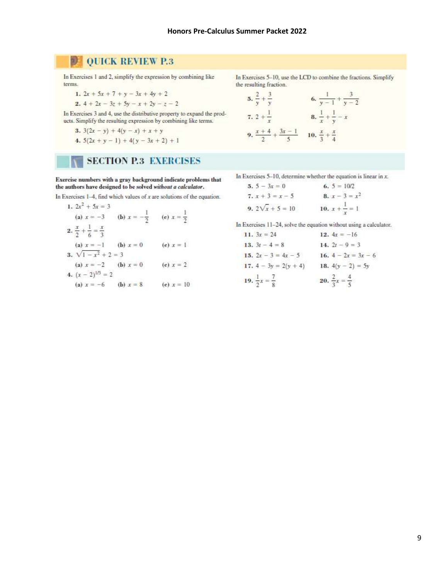#### $\mathfrak{D}$ **QUICK REVIEW P.3**

In Exercises 1 and 2, simplify the expression by combining like terms.

- 1.  $2x + 5x + 7 + y 3x + 4y + 2$
- 2.  $4 + 2x 3z + 5y x + 2y z 2$

In Exercises 3 and 4, use the distributive property to expand the products. Simplify the resulting expression by combining like terms.

- 3.  $3(2x y) + 4(y x) + x + y$ 4.  $5(2x + y - 1) + 4(y - 3x + 2) + 1$
- 

# **SECTION P.3 EXERCISES**

Exercise numbers with a gray background indicate problems that the authors have designed to be solved without a calculator.

In Exercises  $1-4$ , find which values of x are solutions of the equation.

- 1.  $2x^2 + 5x = 3$ (a)  $x = -3$  (b)  $x = -\frac{1}{2}$  (e)  $x = \frac{1}{2}$ 2.  $\frac{x}{2} + \frac{1}{6} = \frac{x}{3}$ (a)  $x = -1$  (b)  $x = 0$  (c)  $x = 1$ 3.  $\sqrt{1-x^2} + 2 = 3$ (a)  $x = -2$  (b)  $x = 0$  (e)  $x = 2$ 4.  $(x - 2)^{1/3} = 2$ 
	- (a)  $x = -6$  (b)  $x = 8$  (e)  $x = 10$

In Exercises 5-10, use the LCD to combine the fractions. Simplify the resulting fraction.

**5.** 
$$
\frac{2}{y} + \frac{3}{y}
$$
  
\n**6.**  $\frac{1}{y-1} + \frac{3}{y-2}$   
\n**7.**  $2 + \frac{1}{x}$   
\n**8.**  $\frac{1}{x} + \frac{1}{y} - x$   
\n**9.**  $\frac{x+4}{2} + \frac{3x-1}{5}$   
\n**10.**  $\frac{x}{3} + \frac{x}{4}$ 

In Exercises  $5-10$ , determine whether the equation is linear in x.

 $5.5 - 3x = 0$ 6.  $5 = 10/2$ 7.  $x + 3 = x - 5$ <br>
8.  $x - 3 = x^2$ <br>
9.  $2\sqrt{x} + 5 = 10$ <br>
8.  $x - \frac{1}{x} = 1$ 

In Exercises 11-24, solve the equation without using a calculator.

| 11. $3x = 24$                    | 12. $4x = -16$                   |
|----------------------------------|----------------------------------|
| 13. $3t - 4 = 8$                 | 14. $2t - 9 = 3$                 |
| 15. $2x - 3 = 4x - 5$            | 16. $4 - 2x = 3x - 6$            |
| 17. $4 - 3y = 2(y + 4)$          | 18. $4(y - 2) = 5y$              |
| 19. $\frac{1}{2}x = \frac{7}{8}$ | 20. $\frac{2}{3}x = \frac{4}{5}$ |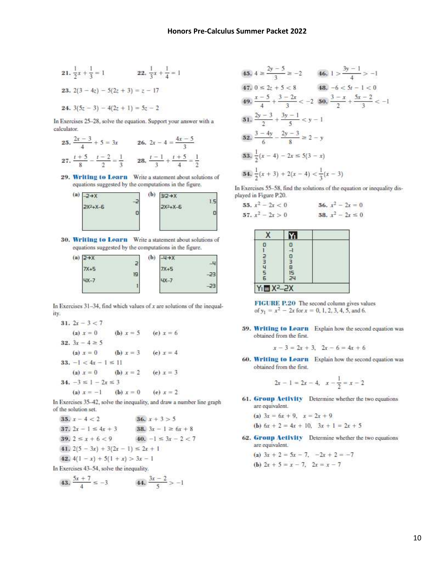21. 
$$
\frac{1}{2}x + \frac{1}{3} = 1
$$
  
\n22.  $\frac{1}{3}x + \frac{1}{4} = 1$   
\n23. 2(3 - 4z) - 5(2z + 3) = z - 17  
\n24. 3(5z - 3) - 4(2z + 1) = 5z - 2

In Exercises 25-28, solve the equation. Support your answer with a calculator.

**25.** 
$$
\frac{2x-3}{4} + 5 = 3x
$$
 **26.**  $2x - 4 = \frac{4x-5}{3}$   
**27.**  $\frac{t+5}{8} - \frac{t-2}{2} = \frac{1}{3}$  **28.**  $\frac{t-1}{3} + \frac{t+5}{4} = \frac{1}{2}$ 

29. Writing to Learn Write a statement about solutions of equations suggested by the computations in the figure.



30. Writing to Learn Write a statement about solutions of equations suggested by the computations in the figure.



In Exercises  $31-34$ , find which values of x are solutions of the inequality.

31.  $2x - 3 < 7$  $f(x)$   $x = 0$ (b)  $x = 5$ (e)  $x = 6$ 32.  $3x - 4 \ge 5$ (c)  $x = 4$ (a)  $x = 0$ (**b**)  $x = 3$ 33.  $-1 < 4x - 1 \le 11$  $f(x) = x = 0$ (b)  $x = 2$ (e)  $x = 3$ 34.  $-3 \le 1 - 2x \le 3$ (a)  $x = -1$ (b)  $x = 0$ (e)  $x = 2$ 

In Exercises 35-42, solve the inequality, and draw a number line graph of the solution set.

**35.** 
$$
x - 4 < 2
$$
  
\n**36.**  $x + 3 > 5$   
\n**37.**  $2x - 1 \le 4x + 3$   
\n**38.**  $3x - 1 \ge 6x + 8$   
\n**39.**  $2 \le x + 6 < 9$   
\n**40.**  $-1 \le 3x - 2 < 7$   
\n**41.**  $2(5 - 3x) + 3(2x - 1) \le 2x + 1$   
\n**42.**  $4(1 - x) + 5(1 + x) > 3x - 1$   
\nIn Exercises 43-54, solve the inequality.

**43.** 
$$
\frac{5x + 7}{4} \le -3
$$
 **44.**  $\frac{3x - 2}{5} > -1$ 

**45.** 
$$
4 \ge \frac{2y - 5}{3} \ge -2
$$
 **46.**  $1 > \frac{3y - 1}{4} > -1$   
\n**47.**  $0 \le 2z + 5 < 8$  **48.**  $-6 < 5t - 1 < 0$   
\n**49.**  $\frac{x - 5}{4} + \frac{3 - 2x}{3} < -2$  **50.**  $\frac{3 - x}{2} + \frac{5x - 2}{3} < -1$   
\n**51.**  $\frac{2y - 3}{2} + \frac{3y - 1}{5} < y - 1$   
\n**52.**  $\frac{3 - 4y}{6} - \frac{2y - 3}{8} \ge 2 - y$   
\n**53.**  $\frac{1}{2}(x - 4) - 2x \le 5(3 - x)$   
\n**54.**  $\frac{1}{2}(x + 3) + 2(x - 4) < \frac{1}{3}(x - 3)$ 

In Exercises 55-58, find the solutions of the equation or inequality displayed in Figure P.20.

**55.** 
$$
x^2 - 2x < 0
$$
  
\n**56.**  $x^2 - 2x = 0$   
\n**57.**  $x^2 - 2x > 0$   
\n**58.**  $x^2 - 2x \le 0$ 

| s. |  |
|----|--|
|    |  |

FIGURE P.20 The second column gives values of  $y_1 = x^2 - 2x$  for  $x = 0, 1, 2, 3, 4, 5$ , and 6.

59. Writing to Learn Explain how the second equation was obtained from the first.

$$
x-3=2x+3, \ \ 2x-6=4x+6
$$

60. Writing to Learn Explain how the second equation was obtained from the first.

$$
2x - 1 = 2x - 4, \quad x - \frac{1}{2} = x - 2
$$

61. Group Activity Determine whether the two equations are equivalent.

(a) 
$$
3x = 6x + 9
$$
,  $x = 2x + 9$ 

**(b)** 
$$
6x + 2 = 4x + 10
$$
,  $3x + 1 = 2x + 5$ 

- 62. Group Activity Determine whether the two equations are equivalent.
	- (a)  $3x + 2 = 5x 7$ ,  $-2x + 2 = -7$ (**b**)  $2x + 5 = x - 7$ ,  $2x = x - 7$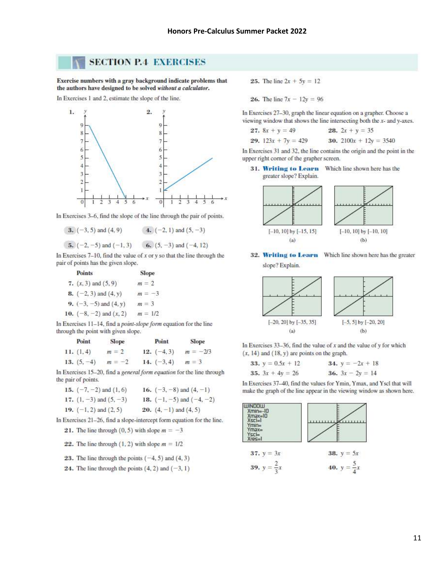### **SECTION P.4 EXERCISES**

Exercise numbers with a gray background indicate problems that the authors have designed to be solved without a calculator.

In Exercises 1 and 2, estimate the slope of the line.



In Exercises 3-6, find the slope of the line through the pair of points.

3.  $(-3, 5)$  and  $(4, 9)$ 4.  $(-2, 1)$  and  $(5, -3)$ 

5.  $(-2, -5)$  and  $(-1, 3)$  6.  $(5, -3)$  and  $(-4, 12)$ 

In Exercises  $7-10$ , find the value of x or y so that the line through the pair of points has the given slope.

> **Points** Slope

| 7. $(x, 3)$ and $(5, 9)$         | $m = 2$   |
|----------------------------------|-----------|
| <b>8.</b> $(-2, 3)$ and $(4, y)$ | $m=-3$    |
| 9. $(-3, -5)$ and $(4, y)$       | $m = 3$   |
| 10. $(-8, -2)$ and $(x, 2)$      | $m = 1/2$ |

In Exercises 11-14, find a point-slope form equation for the line through the point with given slope.

| Point.        | Slope    | Point         | Slope      |
|---------------|----------|---------------|------------|
| 11. (1, 4)    | $m = 2$  | 12. $(-4, 3)$ | $m = -2/3$ |
| $13. (5, -4)$ | $m = -2$ | 14. $(-3, 4)$ | $m = 3$    |

In Exercises 15-20, find a general form equation for the line through the pair of points.

| 15. $(-7, -2)$ and $(1, 6)$ | 16. $(-3, -8)$ and $(4, -1)$  |
|-----------------------------|-------------------------------|
| 17. $(1, -3)$ and $(5, -3)$ | 18. $(-1, -5)$ and $(-4, -2)$ |
| 19. $(-1, 2)$ and $(2, 5)$  | 20. $(4, -1)$ and $(4, 5)$    |

In Exercises 21-26, find a slope-intercept form equation for the line.

21. The line through (0, 5) with slope  $m = -3$ 

22. The line through  $(1, 2)$  with slope  $m = 1/2$ 

23. The line through the points  $(-4, 5)$  and  $(4, 3)$ 

24. The line through the points  $(4, 2)$  and  $(-3, 1)$ 

**25.** The line  $2x + 5y = 12$ 

**26.** The line  $7x - 12y = 96$ 

In Exercises 27-30, graph the linear equation on a grapher. Choose a viewing window that shows the line intersecting both the x- and y-axes.

| 27. $8x + y = 49$     | <b>28.</b> $2x + y = 35$ |
|-----------------------|--------------------------|
| 29. $123x + 7y = 429$ | 30. $2100x + 12y = 3540$ |

In Exercises 31 and 32, the line contains the origin and the point in the upper right corner of the grapher screen.

31. Writing to Learn Which line shown here has the greater slope? Explain.



32. Writing to Learn Which line shown here has the greater slope? Explain.



In Exercises  $33-36$ , find the value of x and the value of y for which  $(x, 14)$  and  $(18, y)$  are points on the graph.

| 33. $y = 0.5x + 12$ | 34. $y = -2x + 18$ |
|---------------------|--------------------|
| 35. $3x + 4y = 26$  | 36. $3x - 2y = 14$ |

In Exercises 37-40, find the values for Ymin, Ymax, and Yscl that will make the graph of the line appear in the viewing window as shown here.

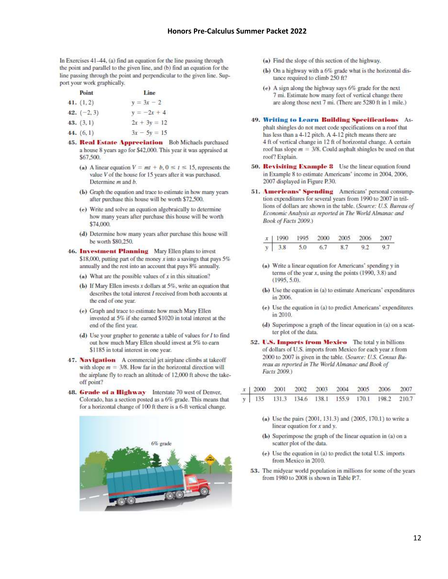In Exercises 41-44, (a) find an equation for the line passing through the point and parallel to the given line, and (b) find an equation for the line passing through the point and perpendicular to the given line. Support your work graphically.

| Point         | Line           |
|---------------|----------------|
| 41. $(1, 2)$  | $y = 3x - 2$   |
| 42. $(-2, 3)$ | $y = -2x + 4$  |
| 43. (3.1)     | $2x + 3y = 12$ |

44.  $(6, 1)$  $3x - 5y = 15$ 

- 45. Real Estate Appreciation Bob Michaels purchased a house 8 years ago for \$42,000. This year it was appraised at \$67,500.
	- (a) A linear equation  $V = mt + b$ ,  $0 \le t \le 15$ , represents the value  $V$  of the house for 15 years after it was purchased. Determine m and b.
	- (b) Graph the equation and trace to estimate in how many years after purchase this house will be worth \$72,500.
	- (e) Write and solve an equation algebraically to determine how many years after purchase this house will be worth \$74,000
	- (d) Determine how many years after purchase this house will be worth \$80,250.
- **46. Investment Planning** Mary Ellen plans to invest \$18,000, putting part of the money x into a savings that pays  $5\%$ annually and the rest into an account that pays 8% annually.
	- (a) What are the possible values of  $x$  in this situation?
	- (b) If Mary Ellen invests  $x$  dollars at  $5\%$ , write an equation that describes the total interest I received from both accounts at the end of one year.
	- (e) Graph and trace to estimate how much Mary Ellen invested at 5% if she earned \$1020 in total interest at the end of the first year.
	- (d) Use your grapher to generate a table of values for  $I$  to find out how much Mary Ellen should invest at 5% to earn \$1185 in total interest in one year.
- 47. Navigation A commercial jet airplane climbs at takeoff with slope  $m = 3/8$ . How far in the horizontal direction will the airplane fly to reach an altitude of 12,000 ft above the takeoff point?
- 48. Grade of a Highway Interstate 70 west of Denver. Colorado, has a section posted as a 6% grade. This means that for a horizontal change of 100 ft there is a 6-ft vertical change.



- (a) Find the slope of this section of the highway.
- (b) On a highway with a 6% grade what is the horizontal distance required to climb 250 ft?
- (e) A sign along the highway says 6% grade for the next 7 mi. Estimate how many feet of vertical change there are along those next 7 mi. (There are 5280 ft in 1 mile.)
- 49. Writing to Learn Building Specifications Asphalt shingles do not meet code specifications on a roof that has less than a 4-12 pitch. A 4-12 pitch means there are 4 ft of vertical change in 12 ft of horizontal change. A certain roof has slope  $m = 3/8$ . Could asphalt shingles be used on that roof? Explain.
- 50. Revisiting Example 8 Use the linear equation found in Example 8 to estimate Americans' income in 2004, 2006, 2007 displayed in Figure P.30.
- 51. Americans' Spending Americans' personal consumption expenditures for several years from 1990 to 2007 in trillions of dollars are shown in the table. (Source: U.S. Bureau of Economic Analysis as reported in The World Almanac and Book of Facts 2009.)

|               |  | x   1990 1995 2000 2005 2006 2007 |  |
|---------------|--|-----------------------------------|--|
| $y = 3.8$ 5.0 |  | 6.7 8.7 9.2 9.7                   |  |

- (a) Write a linear equation for Americans' spending y in terms of the year  $x$ , using the points (1990, 3.8) and  $(1995, 5.0).$
- (b) Use the equation in (a) to estimate Americans' expenditures in 2006.
- (e) Use the equation in (a) to predict Americans' expenditures in 2010.
- (d) Superimpose a graph of the linear equation in (a) on a scatter plot of the data.
- 52. U.S. Imports from Mexico The total y in billions of dollars of U.S. imports from Mexico for each year x from 2000 to 2007 is given in the table. (Source: U.S. Census Bureau as reported in The World Almanac and Book of Facts 2009.)

|  |  |  | $\begin{array}{c cccccccc} x & 2000 & 2001 & 2002 & 2003 & 2004 & 2005 & 2006 & 2007 \\ \hline y & 135 & 131.3 & 134.6 & 138.1 & 155.9 & 170.1 & 198.2 & 210.7 \end{array}$ |  |
|--|--|--|-----------------------------------------------------------------------------------------------------------------------------------------------------------------------------|--|
|  |  |  |                                                                                                                                                                             |  |

- (a) Use the pairs (2001, 131.3) and (2005, 170.1) to write a linear equation for  $x$  and  $y$ .
- (b) Superimpose the graph of the linear equation in (a) on a scatter plot of the data.
- (e) Use the equation in (a) to predict the total U.S. imports from Mexico in 2010.
- 53. The midyear world population in millions for some of the years from 1980 to 2008 is shown in Table P.7.